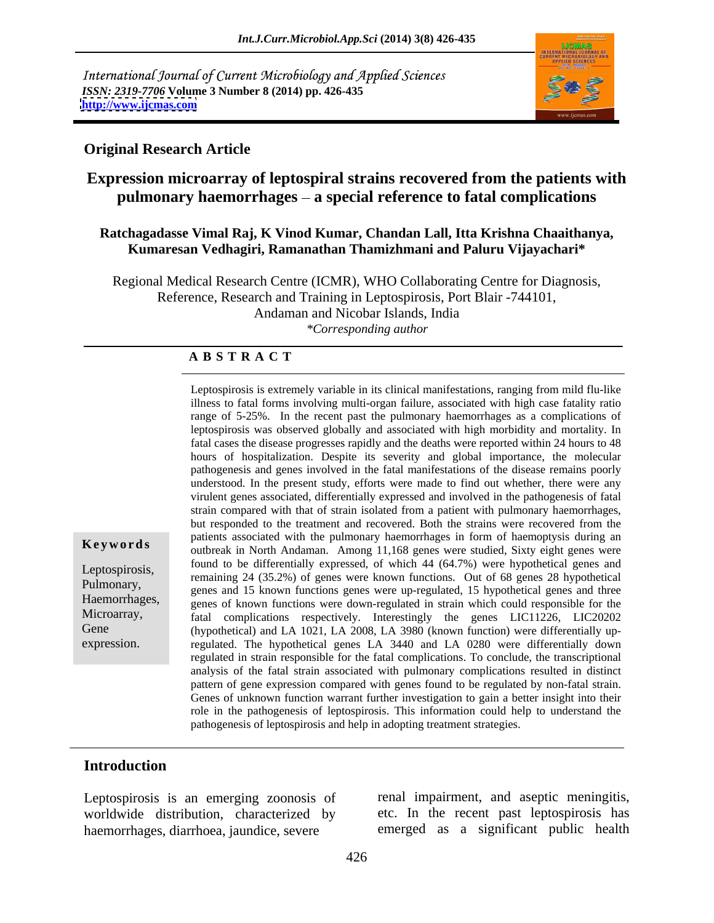International Journal of Current Microbiology and Applied Sciences *ISSN: 2319-7706* **Volume 3 Number 8 (2014) pp. 426-435 <http://www.ijcmas.com>**



#### **Original Research Article**

## **Expression microarray of leptospiral strains recovered from the patients with pulmonary haemorrhages a special reference to fatal complications**

#### **Ratchagadasse Vimal Raj, K Vinod Kumar, Chandan Lall, Itta Krishna Chaaithanya, Kumaresan Vedhagiri, Ramanathan Thamizhmani and Paluru Vijayachari\***

Regional Medical Research Centre (ICMR), WHO Collaborating Centre for Diagnosis, Reference, Research and Training in Leptospirosis, Port Blair -744101, Andaman and Nicobar Islands, India *\*Corresponding author* 

#### **A B S T R A C T**

**Keywords**<br>
outbreak in North Andaman. Among 11,168 genes were studied, Sixty eight genes were Leptospirosis,<br>
remaining 24 (35.2%) of genes were known functions. Out of 68 genes 28 hypothetical Pulmonary,<br>genes and 15 known functions genes were up-regulated, 15 hypothetical genes and three Haemorrhages, genes and 15 km and the known functions genes were approximated, to hypometed genes and three genes of known functions were down-regulated in strain which could responsible for the Microarray, fatal complications respectively. Interestingly the genes LIC11226, LIC20202 Gene (hypothetical) and LA 1021, LA 2008, LA 3980 (known function) were differentially up-Leptospirosis is externely variable in its clinical manifestations, ranging from mild flu-like<br>ilhess to fact all forms involving multi-organ failure, associated with high case faality ratio<br>mange of 5-25%. In the recent p illness to fatal forms involving multi-organ failure, associated with high case fatality ratio range of 5-25%. In the recent past the pulmonary haemorrhages as a complications of leptospirosis was observed globally and associated with high morbidity and mortality. In fatal cases the disease progresses rapidly and the deaths were reported within 24 hours to 48 hours of hospitalization. Despite its severity and global importance, the molecular pathogenesis and genes involved in the fatal manifestations of the disease remains poorly understood. In the present study, efforts were made to find out whether, there were any virulent genes associated, differentially expressed and involved in the pathogenesis of fatal strain compared with that of strain isolated from a patient with pulmonary haemorrhages, but responded to the treatment and recovered. Both the strains were recovered from the patients associated with the pulmonary haemorrhages in form of haemoptysis during an found to be differentially expressed, of which 44 (64.7%) were hypothetical genes and regulated. The hypothetical genes LA 3440 and LA 0280 were differentially down regulated in strain responsible for the fatal complications. To conclude, the transcriptional analysis of the fatal strain associated with pulmonary complications resulted in distinct pattern of gene expression compared with genes found to be regulated by non-fatal strain. Genes of unknown function warrant further investigation to gain a better insight into their role in the pathogenesis of leptospirosis. This information could help to understand the pathogenesis of leptospirosis and help in adopting treatment strategies.

# **Introduction**

Leptospirosis is an emerging zoonosis of worldwide distribution, characterized by haemorrhages, diarrhoea, jaundice, severe

renal impairment, and aseptic meningitis, etc. In the recent past leptospirosis has emerged as a significant public health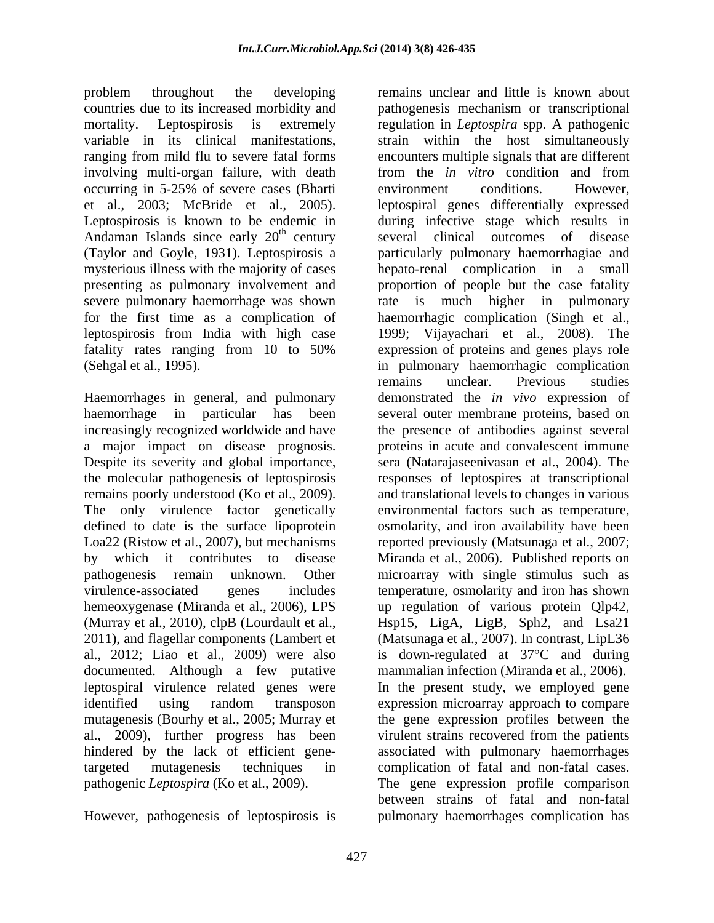problem throughout the developing remains unclear and little is known about occurring in 5-25% of severe cases (Bharti Andaman Islands since early  $20<sup>th</sup>$  century severe pulmonary haemorrhage was shown rate is

documented. Although a few putative

However, pathogenesis of leptospirosis is pulmonary haemorrhages complication has

countries due to its increased morbidity and pathogenesis mechanism or transcriptional mortality. Leptospirosis is extremely regulation in *Leptospira* spp. A pathogenic variable in its clinical manifestations, strain within the host simultaneously ranging from mild flu to severe fatal forms encounters multiple signals that are different involving multi-organ failure, with death from the *in vitro* condition and from et al., 2003; McBride et al., 2005). leptospiral genes differentially expressed<br>Leptospirosis is known to be endemic in during infective stage which results in <sup>th</sup> century several clinical outcomes of disease (Taylor and Goyle, 1931). Leptospirosis a particularly pulmonary haemorrhagiae and mysterious illness with the majority of cases hepato-renal complication in a small presenting as pulmonary involvement and proportion of people but the case fatality for the first time as a complication of haemorrhagic complication (Singh et al., leptospirosis from India with high case 1999; Vijayachari et al., 2008). The fatality rates ranging from 10 to 50% expression of proteins and genes plays role (Sehgal et al., 1995). in pulmonary haemorrhagic complication Haemorrhages in general, and pulmonary demonstrated the *in vivo* expression of haemorrhage in particular has been several outer membrane proteins, based on increasingly recognized worldwide and have the presence of antibodies against several a major impact on disease prognosis. proteins in acute and convalescent immune Despite its severity and global importance, sera (Natarajaseenivasan et al., 2004). The the molecular pathogenesis of leptospirosis responses of leptospires at transcriptional remains poorly understood (Ko et al., 2009). <br>The only virulence factor genetically environmental factors such as temperature, defined to date is the surface lipoprotein osmolarity, and iron availability have been Loa22 (Ristow et al., 2007), but mechanisms reported previously (Matsunaga et al., 2007; by which it contributes to disease Miranda et al., 2006). Published reports on pathogenesis remain unknown. Other microarray with single stimulus such as virulence-associated genes includes temperature, osmolarity and iron has shown hemeoxygenase (Miranda et al., 2006), LPS up regulation of various protein Qlp42, (Murray et al., 2010), clpB (Lourdault et al., Hsp15, LigA, LigB, Sph2, and Lsa21 2011), and flagellar components (Lambert et (Matsunaga et al., 2007). In contrast, LipL36 al., 2012; Liao et al., 2009) were also is down-regulated at 37°C and during leptospiral virulence related genes were In the present study, we employed gene identified using random transposon expression microarray approach to compare mutagenesis (Bourhy et al., 2005; Murray et the gene expression profiles between the al., 2009), further progress has been virulent strains recovered from the patients hindered by the lack of efficient gene-associated with pulmonary haemorrhages targeted mutagenesis techniques in complication of fatal and non-fatal cases. pathogenic *Leptospira* (Ko et al., 2009). The gene expression profile comparison environment conditions. However, leptospiral genes differentially expressed during infective stage which results in much higher in pulmonary expression of proteins and genes plays role remains unclear. Previous studies and translational levels to changes in various environmental factors such as temperature, mammalian infection (Miranda et al., 2006). between strains of fatal and non-fatal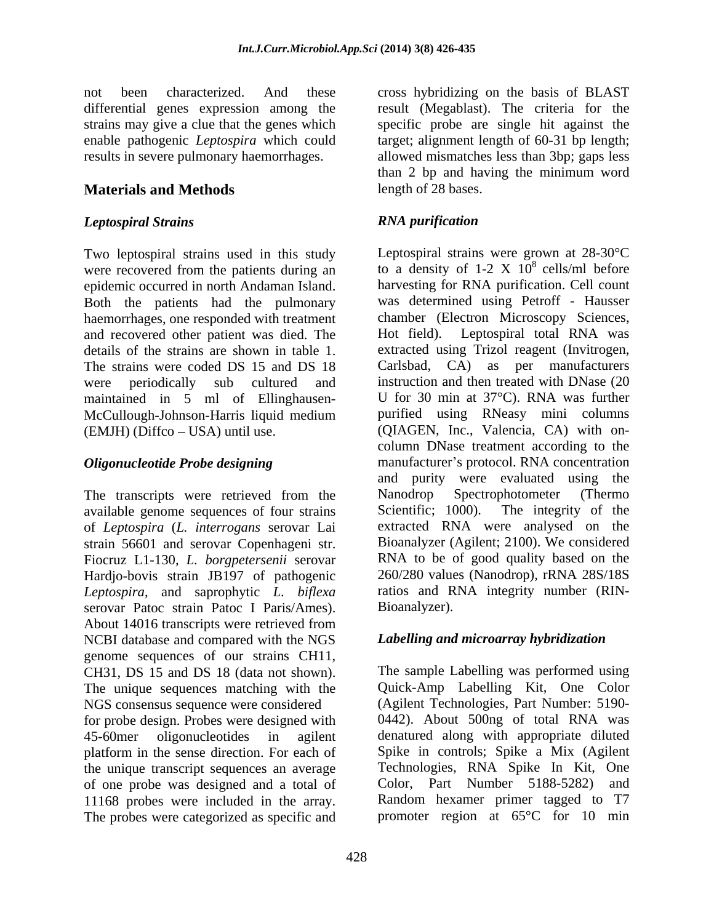not been characterized. And these cross hybridizing on the basis of BLAST differential genes expression among the result (Megablast). The criteria for the strains may give a clue that the genes which specific probe are single hit against the enable pathogenic *Leptospira* which could target; alignment length of 60-31 bp length; results in severe pulmonary haemorrhages. allowed mismatches less than 3bp; gaps less

## **Materials and Methods**

### *Leptospiral Strains*

Two leptospiral strains used in this study epidemic occurred in north Andaman Island. Both the patients had the pulmonary haemorrhages, one responded with treatment<br>and recovered other patient was died. The direction Hot field). Leptospiral total RNA was and recovered other patient was died. The maintained in 5 ml of Ellinghausen- McCullough-Johnson-Harris liquid medium

available genome sequences of four strains Scientific; 1000). The integrity of the of *Leptospira* (*L. interrogans* serovar Lai strain 56601 and serovar Copenhageni str. Fiocruz L1-130, *L. borgpetersenii* serovar Hardjo-bovis strain JB197 of pathogenic *Leptospira*, and saprophytic *L. biflexa* serovar Patoc strain Patoc I Paris/Ames). About 14016 transcripts were retrieved from NCBI database and compared with the NGS genome sequences of our strains CH11, CH31, DS 15 and DS 18 (data not shown). The unique sequences matching with the NGS consensus sequence were considered for probe design. Probes were designed with 45-60mer oligonucleotides in agilent denatured along with appropriate diluted platform in the sense direction. For each of the unique transcript sequences an average of one probe was designed and a total of 11168 probes were included in the array. The probes were categorized as specific and

than 2 bp and having the minimum word length of 28 bases.

## *RNA purification*

were recovered from the patients during an  $\overline{a}$  to a density of 1-2 X  $10^8$  cells/ml before details of the strains are shown in table 1. extracted using Trizol reagent (Invitrogen,<br>The strains were coded DS 15 and DS 18 Carlsbad, CA) as per manufacturers were periodically sub cultured and instruction and then treated with DNase (20 (EMJH) (Diffco – USA) until use. (QIAGEN, Inc., Valencia, CA) with on-*Oligonucleotide Probe designing* manufacturer's protocol. RNA concentration The transcripts were retrieved from the Nanodrop Spectrophotometer (Thermo<br>available genome sequences of four strains Scientific: 1000). The integrity of the Leptospiral strains were grown at 28-30°C harvesting for RNA purification. Cell count was determined using Petroff - Hausser chamber (Electron Microscopy Sciences, Hot field). Leptospiral total RNA was extracted using Trizol reagent (Invitrogen, Carlsbad, CA) as per manufacturers U for 30 min at 37°C). RNA was further purified using RNeasy mini columns column DNase treatment according to the and purity were evaluated using the Nanodrop Spectrophotometer (Thermo Scientific; 1000). The integrity of the extracted RNA were analysed on the Bioanalyzer (Agilent; 2100). We considered RNA to be of good quality based on the 260/280 values (Nanodrop), rRNA 28S/18S ratios and RNA integrity number (RIN- Bioanalyzer).

### *Labelling and microarray hybridization*

The sample Labelling was performed using Quick-Amp Labelling Kit, One Color (Agilent Technologies, Part Number: 5190- 0442). About 500ng of total RNA was Spike in controls; Spike a Mix (Agilent Technologies, RNA Spike In Kit, One Color, Part Number 5188-5282) and Random hexamer primer tagged to T7 promoter region at 65°C for 10 min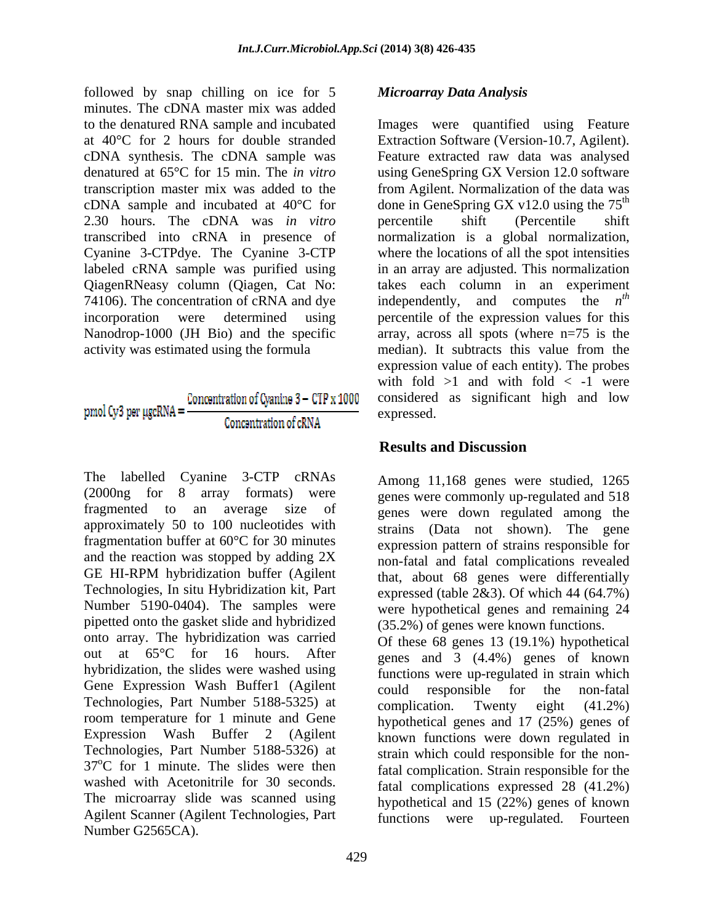followed by snap chilling on ice for 5 minutes. The cDNA master mix was added 2.30 hours. The cDNA was *in vitro* QiagenRNeasy column (Qiagen, Cat No: 74106). The concentration of cRNA and dye independently, and computes the  $n^{th}$ 

#### Concentration of Cvanine 3 - CTP x 1000  $p$ mol Cy3 per µgcRNA = Concentration of cRNA

The labelled Cyanine 3-CTP cRNAs (2000ng for 8 array formats) were genes were commonly up-regulated and 518 fragmented to an average size of genes were down regulated among the approximately 50 to 100 nucleotides with fragmentation buffer at 60°C for 30 minutes and the reaction was stopped by adding 2X GE HI-RPM hybridization buffer (Agilent that, about 68 genes were differentially Technologies, In situ Hybridization kit, Part Number 5190-0404). The samples were pipetted onto the gasket slide and hybridized onto array. The hybridization was carried out at 65°C for 16 hours. After genes and 3 (4.4%) genes of known hybridization, the slides were washed using functions were up-regulated in strain which Gene Expression Wash Buffer1 (Agilent could responsible for the non-fatal Technologies, Part Number 5188-5325) at complication. Twenty eight (41.2%) room temperature for 1 minute and Gene Expression Wash Buffer 2 (Agilent Technologies, Part Number 5188-5326) at  $37^{\circ}$ C for 1 minute. The slides were then washed with Acetonitrile for 30 seconds. The microarray slide was scanned using Agilent Scanner (Agilent Technologies, Part Number G2565CA).

### *Microarray Data Analysis*

to the denatured RNA sample and incubated Images were quantified using Feature at 40°C for 2 hours for double stranded Extraction Software (Version-10.7, Agilent). cDNA synthesis. The cDNA sample was Feature extracted raw data was analysed denatured at 65°C for 15 min. The *in vitro* using GeneSpring GX Version 12.0 software transcription master mix was added to the from Agilent. Normalization of the data was cDNA sample and incubated at 40°C for done in GeneSpring GX v12.0 using the  $75<sup>th</sup>$ transcribed into cRNA in presence of a normalization is a global normalization, Cyanine 3-CTPdye. The Cyanine 3-CTP where the locations of all the spot intensities labeled cRNA sample was purified using in an array are adjusted. This normalization incorporation were determined using percentile of the expression values for this Nanodrop-1000 (JH Bio) and the specific array, across all spots (where n=75 is the activity was estimated using the formula median). It subtracts this value from the the contract of the contract of the contract of the contract of the contract of the contract of the contract of the contract of the contract of the contract of the contract of the contract of the contract of the contract o percentile shift (Percentile shift takes each column in an experiment independently, and computes the *th* expression value of each entity). The probes with fold  $>1$  and with fold  $< -1$  were considered as significant high and low expressed.

## **Results and Discussion**

Among 11,168 genes were studied, 1265 strains (Data not shown). The gene expression pattern of strains responsible for non-fatal and fatal complications revealed that, about 68 genes were differentially expressed (table  $2&3$ ). Of which 44 (64.7%) were hypothetical genes and remaining 24 (35.2%) of genes were known functions.

Of these 68 genes 13 (19.1%) hypothetical could responsible for the non-fatal complication. Twenty eight (41.2%) hypothetical genes and 17 (25%) genes of known functions were down regulated in strain which could responsible for the nonfatal complication. Strain responsible for the fatal complications expressed 28 (41.2%) hypothetical and 15 (22%) genes of known functions were up-regulated. Fourteen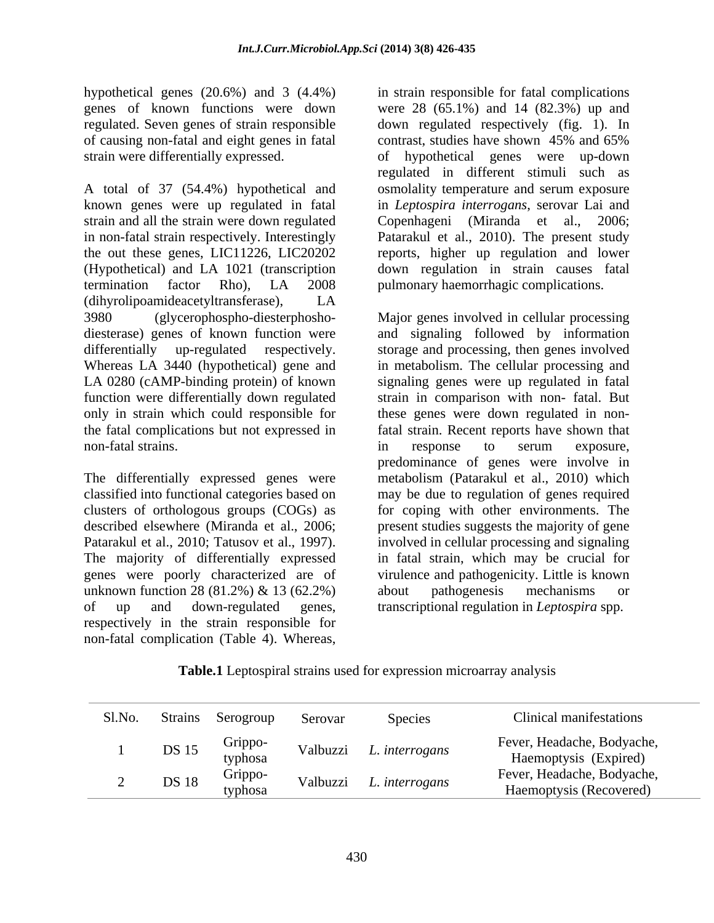hypothetical genes (20.6%) and 3 (4.4%) of causing non-fatal and eight genes in fatal

A total of 37 (54.4%) hypothetical and osmolality temperature and serum exposure known genes were up regulated in fatal in *Leptospira interrogans*, serovar Lai and strain and all the strain were down regulated Copenhageni (Miranda et al., 2006; in non-fatal strain respectively. Interestingly Patarakul et al., 2010). The present study the out these genes, LIC11226, LIC20202 reports, higher up regulation and lower (Hypothetical) and LA 1021 (transcription termination factor Rho), LA 2008 (dihyrolipoamideacetyltransferase), LA only in strain which could responsible for

The differentially expressed genes were unknown function 28 (81.2%)  $\&$  13 (62.2%) about pathogenesis mechanisms or of up and down-regulated genes, transcriptional regulation in *Leptospira* spp. respectively in the strain responsible for non-fatal complication (Table 4). Whereas,

genes of known functions were down were 28 (65.1%) and 14 (82.3%) up and regulated. Seven genes of strain responsible down regulated respectively (fig. 1). In strain were differentially expressed. of hypothetical genes were up-down in strain responsible for fatal complications contrast, studies have shown 45% and 65% regulated in different stimuli such as Copenhageni (Miranda et al., down regulation in strain causes fatal pulmonary haemorrhagic complications.

3980 (glycerophospho-diesterphosho- Major genes involved in cellular processing diesterase) genes of known function were and signaling followed by information differentially up-regulated respectively. storage and processing, then genes involved Whereas LA 3440 (hypothetical) gene and in metabolism. The cellular processing and LA 0280 (cAMP-binding protein) of known signaling genes were up regulated in fatal function were differentially down regulated strain in comparison with non- fatal. But the fatal complications but not expressed in fatal strain. Recent reports have shown that non-fatal strains. The series of the series of the series of the series of the series of the series of the series of the series of the series of the series of the series of the series of the series of the series of the ser classified into functional categories based on may be due to regulation of genes required clusters of orthologous groups (COGs) as for coping with other environments. The described elsewhere (Miranda et al., 2006; present studies suggests the majority of gene Patarakul et al., 2010; Tatusov et al., 1997). Involved in cellular processing and signaling<br>The majority of differentially expressed in fatal strain, which may be crucial for genes were poorly characterized are of virulence and pathogenicity. Little is known these genes were down regulated in nonin response to serum exposure, predominance of genes were involve in metabolism (Patarakul et al., 2010) which involved in cellular processing and signaling in fatal strain, which may be crucial for about pathogenesis mechanisms or

**Table.1** Leptospiral strains used for expression microarray analysis

| Sl.No. | Strains      | Serogroup          | Serovar  | Species        | Clinical manifestations                               |
|--------|--------------|--------------------|----------|----------------|-------------------------------------------------------|
|        | DS 15        | Grippo-<br>typhosa | Valbuzzi | L. interrogans | Fever, Headache, Bodyache,<br>Haemoptysis (Expired)   |
|        | <b>DS 18</b> | Grippo-<br>typhosa | Valbuzzi | . interrogans  | Fever, Headache, Bodyache,<br>Haemoptysis (Recovered) |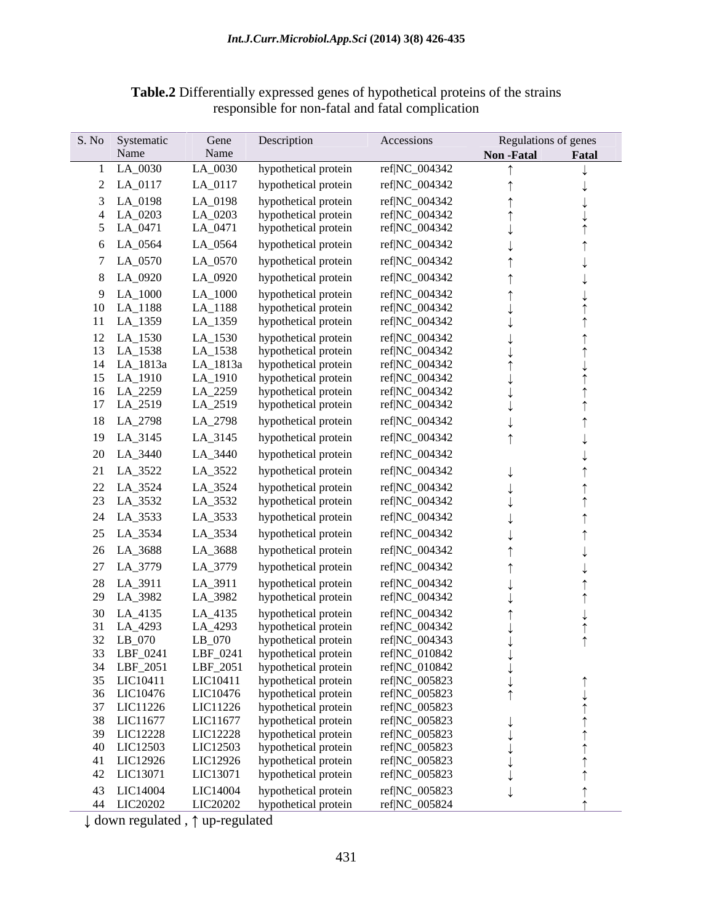| S. No<br>Systematic | Gene      | Description          | Accessions    |                  | Regulations of genes |  |
|---------------------|-----------|----------------------|---------------|------------------|----------------------|--|
| Name                | Name      |                      |               | <b>Non-Fatal</b> | Fatal                |  |
| 1 LA_0030           | $LA_0030$ | hypothetical protein | ref NC_004342 |                  |                      |  |
| 2 LA_0117           | LA_0117   | hypothetical protein | ref NC_004342 |                  |                      |  |
| 3 LA_0198           | LA_0198   | hypothetical protein | ref NC_004342 |                  |                      |  |
| 4 LA_0203           | LA_0203   | hypothetical protein | ref NC_004342 |                  |                      |  |
| 5 LA_0471           | LA_0471   | hypothetical protein | ref NC_004342 |                  |                      |  |
| 6 LA_0564           | LA_0564   | hypothetical protein | ref NC_004342 |                  |                      |  |
|                     |           |                      |               |                  |                      |  |
| 7 LA_0570           | LA_0570   | hypothetical protein | ref NC_004342 |                  |                      |  |
| 8 LA_0920           | LA_0920   | hypothetical protein | ref NC_004342 |                  |                      |  |
| 9 LA_1000           | LA_1000   | hypothetical protein | ref NC_004342 |                  |                      |  |
| 10 LA_1188          | LA_1188   | hypothetical protein | ref NC_004342 |                  |                      |  |
| 11 LA_1359          | LA_1359   | hypothetical protein | ref NC_004342 |                  |                      |  |
| 12 LA_1530          | LA_1530   | hypothetical protein | ref NC_004342 |                  |                      |  |
| 13 LA_1538          | LA_1538   | hypothetical protein | ref NC_004342 |                  |                      |  |
| 14 LA_1813a         | LA_1813a  | hypothetical protein | ref NC_004342 |                  |                      |  |
| 15 LA_1910          | LA_1910   | hypothetical protein | ref NC_004342 |                  |                      |  |
| 16 LA_2259          | LA_2259   | hypothetical protein | ref NC_004342 |                  |                      |  |
| 17 LA_2519          | LA_2519   | hypothetical protein | ref NC_004342 |                  |                      |  |
| 18 LA_2798          | LA_2798   | hypothetical protein | ref NC_004342 |                  |                      |  |
| 19 LA_3145          | LA_3145   | hypothetical protein | ref NC_004342 |                  |                      |  |
| 20 LA_3440          | LA_3440   | hypothetical protein | ref NC_004342 |                  |                      |  |
|                     |           |                      |               |                  |                      |  |
| 21 LA_3522          | LA_3522   | hypothetical protein | ref NC_004342 |                  |                      |  |
| 22 LA_3524          | LA_3524   | hypothetical protein | ref NC_004342 |                  |                      |  |
| 23 LA_3532          | LA_3532   | hypothetical protein | ref NC_004342 |                  |                      |  |
| 24 LA_3533          | LA_3533   | hypothetical protein | ref NC_004342 |                  |                      |  |
| 25 LA_3534          | LA_3534   | hypothetical protein | ref NC_004342 |                  |                      |  |
| 26 LA_3688          | LA_3688   | hypothetical protein | ref NC_004342 |                  |                      |  |
|                     |           |                      |               |                  |                      |  |
| 27 LA_3779          | LA_3779   | hypothetical protein | ref NC_004342 |                  |                      |  |
| 28 LA_3911          | LA_3911   | hypothetical protein | ref NC_004342 |                  |                      |  |
| 29 LA_3982          | LA_3982   | hypothetical protein | ref NC_004342 |                  |                      |  |
| 30 LA_4135          | LA_4135   | hypothetical protein | ref NC_004342 |                  |                      |  |
| 31 LA_4293          | LA_4293   | hypothetical protein | ref NC_004342 |                  |                      |  |
| 32 LB_070           | $LB_070$  | hypothetical protein | ref NC_004343 |                  |                      |  |
| 33 LBF_0241         | LBF_0241  | hypothetical protein | ref NC_010842 |                  |                      |  |
| 34 LBF_2051         | LBF_2051  | hypothetical protein | ref NC_010842 |                  |                      |  |
| 35 LIC10411         | LIC10411  | hypothetical protein | ref NC_005823 |                  |                      |  |
| 36 LIC10476         | LIC10476  | hypothetical protein | ref NC_005823 |                  |                      |  |
| 37 LIC11226         | LIC11226  | hypothetical protein | ref NC_005823 |                  |                      |  |
| 38 LIC11677         | LIC11677  | hypothetical protein | ref NC_005823 |                  |                      |  |
| 39 LIC12228         | LIC12228  | hypothetical protein | ref NC_005823 |                  |                      |  |
| 40 LIC12503         | LIC12503  | hypothetical protein | ref NC_005823 |                  |                      |  |
| 41 LIC12926         | LIC12926  | hypothetical protein | ref NC_005823 |                  |                      |  |
| 42 LIC13071         | LIC13071  | hypothetical protein | ref NC_005823 |                  |                      |  |
| 43 LIC14004         | LIC14004  | hypothetical protein | ref NC_005823 |                  |                      |  |
| 44 LIC20202         | LIC20202  | hypothetical protein | ref NC_005824 |                  |                      |  |

**Table.2** Differentially expressed genes of hypothetical proteins of the strains responsible for non-fatal and fatal complication

 $\downarrow$  down regulated ,  $\uparrow$  up-regulated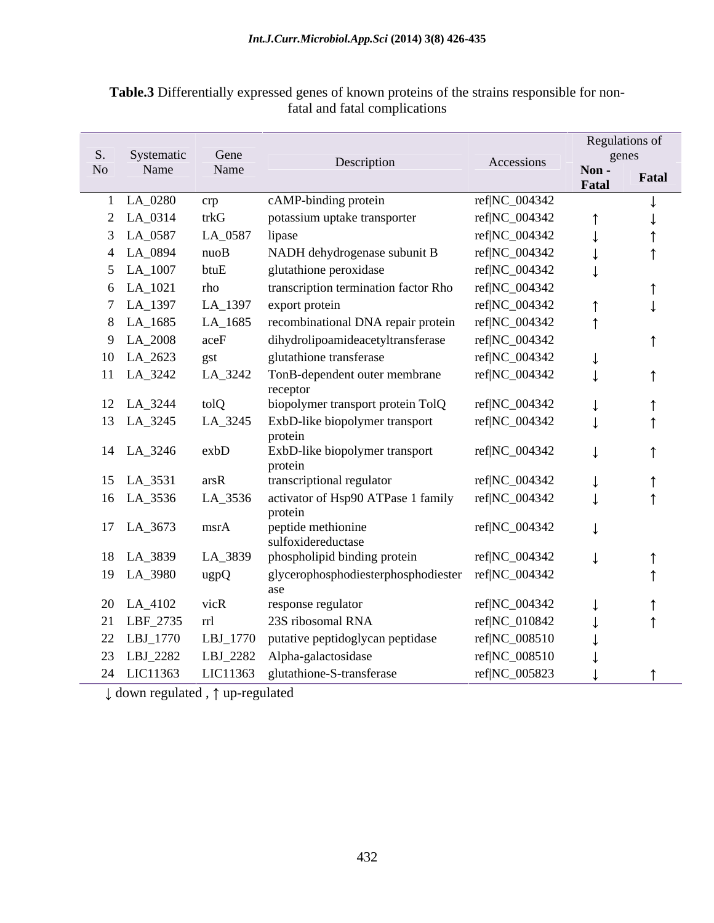| Table.3<br><b>le.3</b> Differentially expressed genes of known proteins of the strains responsible for non- |  |
|-------------------------------------------------------------------------------------------------------------|--|
| fatal and fatal complications                                                                               |  |

|                |             |                       |                                                   |               |               | <b>Regulations of</b> |
|----------------|-------------|-----------------------|---------------------------------------------------|---------------|---------------|-----------------------|
| S.             | Systematic  | Gene                  | Description                                       | Accessions    |               | genes                 |
| N <sub>o</sub> | Name        | Name                  |                                                   |               | Non-<br>Fatal | Fatal                 |
|                | 1 LA_0280   | crp                   | cAMP-binding protein                              | ref NC_004342 |               |                       |
|                | 2 LA_0314   | trkG                  | potassium uptake transporter                      | ref NC_004342 |               |                       |
|                | 3 LA_0587   | LA 0587               | lipase                                            | ref NC_004342 |               |                       |
|                | 4 LA_0894   | nuoB                  | NADH dehydrogenase subunit B                      | ref NC_004342 |               |                       |
|                | 5 LA_1007   | btuE                  | glutathione peroxidase                            | ref NC_004342 |               |                       |
|                | 6 LA_1021   | rho                   | transcription termination factor Rho              | ref NC_004342 |               |                       |
|                | 7 LA_1397   | LA_1397               | export protein                                    | ref NC_004342 |               |                       |
|                | 8 LA_1685   | $LA$ <sub>-1685</sub> | recombinational DNA repair protein                | ref NC_004342 |               |                       |
|                | 9 LA_2008   | aceF                  | dihydrolipoamideacetyltransferase                 | ref NC_004342 |               |                       |
|                | 10 LA_2623  | gst                   | glutathione transferase                           | ref NC_004342 |               |                       |
|                | 11 LA_3242  | LA_3242               | TonB-dependent outer membrane                     | ref NC_004342 |               |                       |
|                |             |                       | receptor                                          |               |               |                       |
|                | 12 LA_3244  | tolQ                  | biopolymer transport protein TolQ                 | ref NC_004342 |               |                       |
|                | 13 LA_3245  | LA_3245               | ExbD-like biopolymer transport<br>protein         | ref NC_004342 |               |                       |
|                | 14 LA_3246  | exbD                  | ExbD-like biopolymer transport                    | ref NC_004342 |               |                       |
|                |             |                       | protein                                           |               |               |                       |
|                | 15 LA_3531  | arsR                  | transcriptional regulator                         | ref NC_004342 |               |                       |
|                | 16 LA_3536  | LA_3536               | activator of Hsp90 ATPase 1 family                | ref NC_004342 |               |                       |
|                |             |                       | protein                                           |               |               |                       |
|                | 17 LA_3673  | msrA                  | peptide methionine<br>sulfoxidereductase          | ref NC_004342 |               |                       |
|                | 18 LA_3839  | LA_3839               | phospholipid binding protein                      | ref NC_004342 |               |                       |
|                | 19 LA_3980  | ugpQ                  | glycerophosphodiesterphosphodiester ref NC_004342 |               |               |                       |
|                |             |                       | ase                                               |               |               |                       |
|                | 20 LA_4102  | vicR                  | response regulator                                | ref NC_004342 |               |                       |
|                | 21 LBF_2735 | rrl                   | 23S ribosomal RNA                                 | ref NC_010842 |               |                       |
|                | 22 LBJ_1770 | LBJ_1770              | putative peptidoglycan peptidase                  | ref NC_008510 |               |                       |
|                | 23 LBJ_2282 | LBJ_2282              | Alpha-galactosidase                               | ref NC_008510 |               |                       |
|                | 24 LIC11363 |                       | LIC11363 glutathione-S-transferase                | ref NC_005823 |               |                       |

 $\downarrow$  down regulated ,  $\uparrow$  up-regulated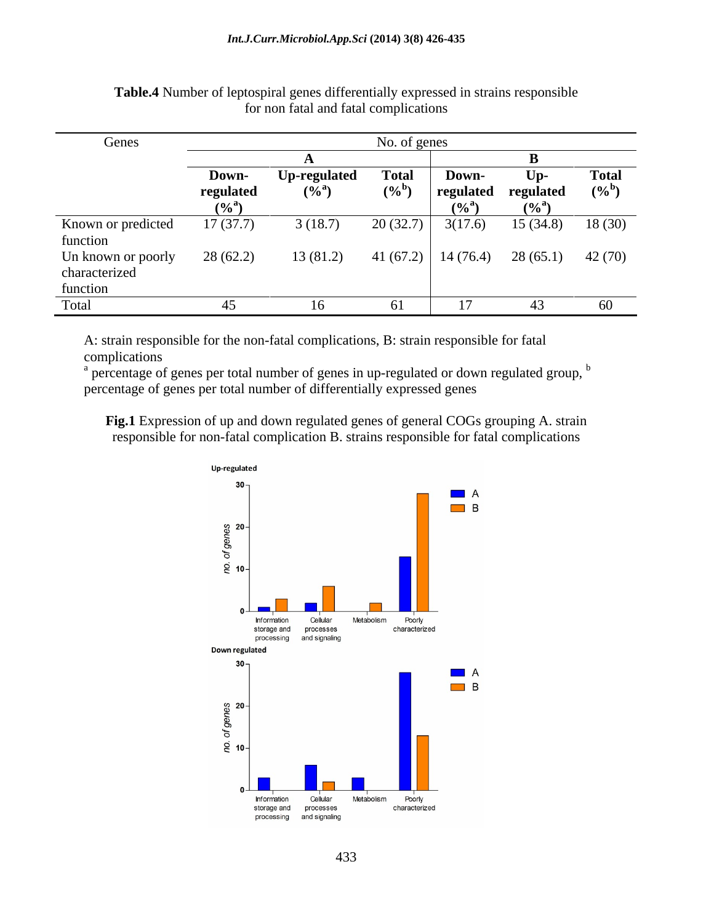| Genes              |              |                     | No. of genes        |              |                                         |              |
|--------------------|--------------|---------------------|---------------------|--------------|-----------------------------------------|--------------|
|                    |              |                     |                     |              |                                         |              |
|                    | <b>Down-</b> | <b>Up-regulated</b> | <b>Total</b>        | <b>Down-</b> | $\mathbf{U}$                            | <b>Total</b> |
|                    | regulated    | $(9/6^a)$           | $(\%^{\mathsf{b}})$ | regulated    | regulated                               | $(\%^0)$     |
|                    |              |                     |                     | $(0/a)^2$    | $(9/6^a)$                               |              |
| Known or predicted | 17(37.7)     | 3(18.7)             | 20(32.7)            | 3(17.6)      | $15(34.8)$ $18(30)$                     |              |
| function           |              |                     |                     |              |                                         |              |
| Un known or poorly | 28(62.2)     | 13(81.2)            |                     |              | 41 (67.2)   14 (76.4) 28 (65.1) 42 (70) |              |
| characterized      |              |                     |                     |              |                                         |              |
| function           |              |                     |                     |              |                                         |              |
| Total              |              |                     |                     |              |                                         |              |

**Table.4** Number of leptospiral genes differentially expressed in strains responsible for non fatal and fatal complications

A: strain responsible for the non-fatal complications, B: strain responsible for fatal

complications<br><sup>a</sup> percentage of genes per total number of genes in up-regulated or down regulated group, <sup>b</sup> percentage of genes per total number of differentially expressed genes

**Fig.1** Expression of up and down regulated genes of general COGs grouping A. strain responsible for non-fatal complication B. strains responsible for fatal complications

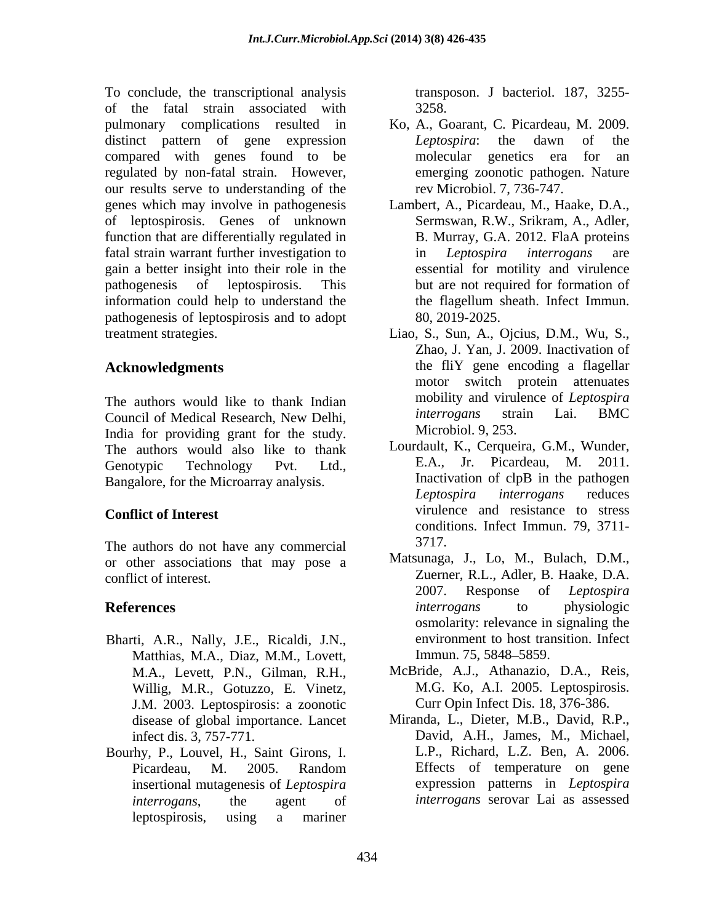To conclude, the transcriptional analysis of the fatal strain associated with pulmonary complications resulted in distinct pattern of gene expression *Leptospira*: the dawn of the compared with genes found to be regulated by non-fatal strain. However, our results serve to understanding of the genes which may involve in pathogenesis Lambert, A., Picardeau, M., Haake, D.A., of leptospirosis. Genes of unknown function that are differentially regulated in fatal strain warrant further investigation to in *Leptospira interrogans* are gain a better insight into their role in the pathogenesis of leptospirosis. This but are not required for formation of information could help to understand the the flagellum sheath. Infect Immun. pathogenesis of leptospirosis and to adopt treatment strategies. Liao, S., Sun, A., Ojcius, D.M., Wu, S.,

The authors would like to thank Indian<br>Council of Medical Research New Delhi *interrogans* strain Lai. BMC Council of Medical Research, New Delhi, India for providing grant for the study. The authors would also like to thank Lourdault, K., Cerqueira, G.M., Wunder,<br>Canotynic Technology, Byt, Ltd. E.A., Jr. Picardeau, M. 2011.

The authors do not have any commercial 3717. or other associations that may pose a

- Bharti, A.R., Nally, J.E., Ricaldi, J.N.,<br>Matthias. M.A., Diaz. M.M., Lovett. Immun. 75, 5848–5859. Matthias, M.A., Diaz, M.M., Lovett, Willig, M.R., Gotuzzo, E. Vinetz, J.M. 2003. Leptospirosis: a zoonotic disease of global importance. Lancet
- Bourhy, P., Louvel, H., Saint Girons, I. insertional mutagenesis of *Leptospira interrogans*, the agent of *interrogans* serovar Lai as assessedleptospirosis, using a mariner

transposon. J bacteriol. 187, 3255- 3258.

- Ko, A., Goarant, C. Picardeau, M. 2009. *Leptospira*: the dawn of the molecular genetics era for an emerging zoonotic pathogen. Nature rev Microbiol. 7, 736-747.
- Sermswan, R.W., Srikram, A., Adler, B. Murray, G.A. 2012. FlaA proteins in *Leptospira interrogans* are essential for motility and virulence the flagellum sheath. Infect Immun. 80, 2019-2025.
- Acknowledgments the fliY gene encoding a flagellar Zhao, J. Yan, J. 2009. Inactivation of motor switch protein attenuates mobility and virulence of *Leptospira interrogans* strain Lai. BMC Microbiol. 9, 253.
- Genotypic Technology Pvt. Ltd., E.A., Jr. Picardeau, M. 2011. Bangalore, for the Microarray analysis.<br>
Leptospira interrogans reduces **Conflict of Interest** virulence and resistance to stress Lourdault, K., Cerqueira, G.M., Wunder, E.A., Jr. Picardeau, M. Inactivation of clpB in the pathogen *Leptospira interrogans* reduces conditions. Infect Immun. 79, 3711- 3717.
- conflict of interest. Zuerner, R.L., Adler, B. Haake, D.A. **References** and *interrogans* to physiologic Matsunaga, J., Lo, M., Bulach, D.M., 2007. Response of *Leptospira interrogans* to physiologic osmolarity: relevance in signaling the environment to host transition. Infect Immun. 75, 5848–5859.
	- M.A., Levett, P.N., Gilman, R.H., McBride, A.J., Athanazio, D.A., Reis, M.G. Ko, A.I. 2005. Leptospirosis. Curr Opin Infect Dis. 18, 376-386.
	- infect dis. 3, 757-771. David, A.H., James, M., Michael, Picardeau, M. 2005. Random Miranda, L., Dieter, M.B., David, R.P., L.P., Richard, L.Z. Ben, A. 2006. Effects of temperature on gene expression patterns in *Leptospira*